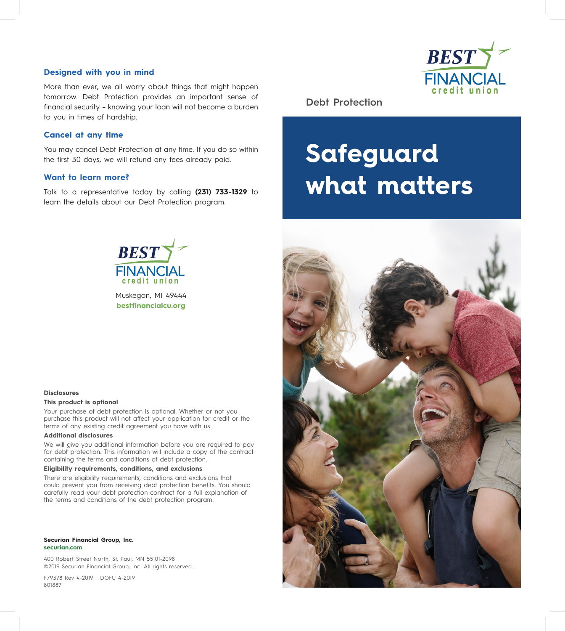## **Designed with you in mind**

More than ever, we all worry about things that might happen tomorrow. Debt Protection provides an important sense of financial security – knowing your loan will not become a burden to you in times of hardship.

## **Cancel at any time**

You may cancel Debt Protection at any time. If you do so within the first 30 days, we will refund any fees already paid.

## **Want to learn more?**

Talk to a representative today by calling **(231) 733-1329** to learn the details about our Debt Protection program.



**Debt Protection** 

# **Safeguard what matters**



Muskegon, MI 49444 **bestfinancialcu.org**



#### **Disclosures**

#### **This product is optional**

Your purchase of debt protection is optional. Whether or not you purchase this product will not affect your application for credit or the terms of any existing credit agreement you have with us.

#### **Additional disclosures**

We will give you additional information before you are required to pay for debt protection. This information will include a copy of the contract containing the terms and conditions of debt protection.

#### **Eligibility requirements, conditions, and exclusions**

There are eligibility requirements, conditions and exclusions that could prevent you from receiving debt protection benefits. You should carefully read your debt protection contract for a full explanation of the terms and conditions of the debt protection program.

#### **Securian Financial Group, Inc. securian.com**

400 Robert Street North, St. Paul, MN 55101-2098 ©2019 Securian Financial Group, Inc. All rights reserved.

F79378 Rev 4-2019 DOFU 4-2019 801887